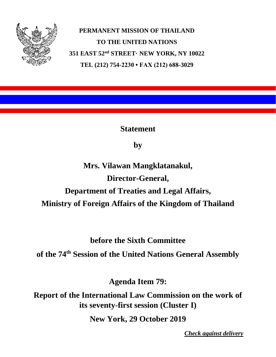

**PERMANENT MISSION OF THAILAND TO THE UNITED NATIONS 351 EAST 52nd STREET· NEW YORK, NY 10022 TEL (212) 754-2230 • FAX (212) 688-3029**

**Statement**

**by**

**Mrs. Vilawan Mangklatanakul, Director-General, Department of Treaties and Legal Affairs, Ministry of Foreign Affairs of the Kingdom of Thailand**

**before the Sixth Committee**

**of the 74 th Session of the United Nations General Assembly**

**Agenda Item 79:**

**Report of the International Law Commission on the work of its seventy-first session (Cluster I)**

**New York, 29 October 2019**

*Check against delivery*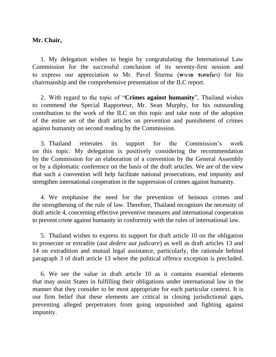## **Mr. Chair,**

1. My delegation wishes to begin by congratulating the International Law Commission for the successful conclusion of its seventy-first session and to express our appreciation to Mr. Pavel Šturma (**พาเวล ชเตอร์มา**) for his chairmanship and the comprehensive presentation of the ILC report.

2. With regard to the topic of "**Crimes against humanity**", Thailand wishes to commend the Special Rapporteur, Mr. Sean Murphy, for his outstanding contribution to the work of the ILC on this topic and take note of the adoption of the entire set of the draft articles on prevention and punishment of crimes against humanity on second reading by the Commission.

3. Thailand reiterates its support for the Commission's work on this topic. My delegation is positively considering the recommendation by the Commission for an elaboration of a convention by the General Assembly or by a diplomatic conference on the basis of the draft articles. We are of the view that such a convention will help facilitate national prosecutions, end impunity and strengthen international cooperation in the suppression of crimes against humanity.

4. We emphasise the need for the prevention of heinous crimes and the strengthening of the rule of law. Therefore, Thailand recognizes the necessity of draft article 4, concerning effective preventive measures and international cooperation to prevent crime against humanity in conformity with the rules of international law.

5. Thailand wishes to express its support for draft article 10 on the obligation to prosecute or extradite (*aut dedere aut judicare*) as well as draft articles 13 and 14 on extradition and mutual legal assistance, particularly, the rationale behind paragraph 3 of draft article 13 where the political offence exception is precluded.

6. We see the value in draft article 10 as it contains essential elements that may assist States in fulfilling their obligations under international law in the manner that they consider to be most appropriate for each particular context. It is our firm belief that these elements are critical in closing jurisdictional gaps, preventing alleged perpetrators from going unpunished and fighting against impunity.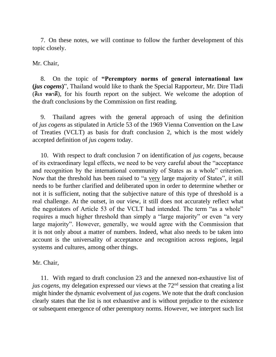7. On these notes, we will continue to follow the further development of this topic closely.

Mr. Chair,

8. On the topic of **"Peremptory norms of general international law (***jus cogens***)**", Thailand would like to thank the Special Rapporteur, Mr. Dire Tladi (**ดิเร ทลาดี**), for his fourth report on the subject. We welcome the adoption of the draft conclusions by the Commission on first reading.

9. Thailand agrees with the general approach of using the definition of *jus cogens* as stipulated in Article 53 of the 1969 Vienna Convention on the Law of Treaties (VCLT) as basis for draft conclusion 2, which is the most widely accepted definition of *jus cogens* today.

10. With respect to draft conclusion 7 on identification of *jus cogens*, because of its extraordinary legal effects, we need to be very careful about the "acceptance and recognition by the international community of States as a whole" criterion. Now that the threshold has been raised to "a very large majority of States", it still needs to be further clarified and deliberated upon in order to determine whether or not it is sufficient, noting that the subjective nature of this type of threshold is a real challenge. At the outset, in our view, it still does not accurately reflect what the negotiators of Article 53 of the VCLT had intended. The term "as a whole" requires a much higher threshold than simply a "large majority" or even "a very large majority". However, generally, we would agree with the Commission that it is not only about a matter of numbers. Indeed, what also needs to be taken into account is the universality of acceptance and recognition across regions, legal systems and cultures, among other things.

Mr. Chair,

11. With regard to draft conclusion 23 and the annexed non-exhaustive list of *jus cogens*, my delegation expressed our views at the 72<sup>nd</sup> session that creating a list might hinder the dynamic evolvement of *jus cogens*. We note that the draft conclusion clearly states that the list is not exhaustive and is without prejudice to the existence or subsequent emergence of other peremptory norms. However, we interpret such list